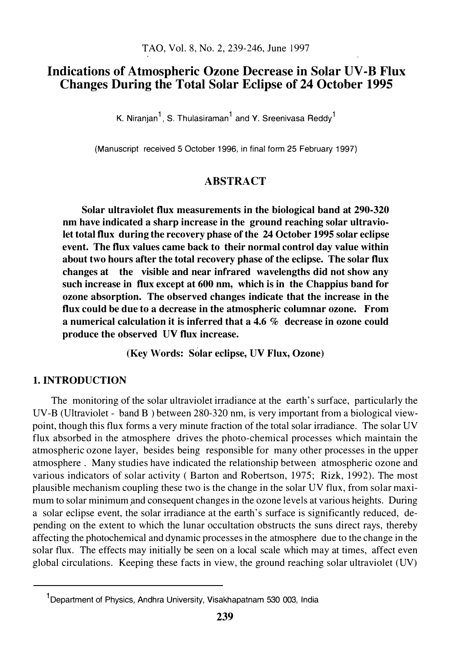# Indications of Atmospheric Ozone Decrease in Solar UV-B Flux Changes During the Total Solar Eclipse of 24 October 1995

K. Niranjan<sup>1</sup>, S. Thulasiraman<sup>1</sup> and Y. Sreenivasa Reddy<sup>1</sup>

(Manuscript received 5 October 1996, in final form 25 February 1997)

### ABSTRACT

Solar ultraviolet flux measurements in the biological band at 290-320 nm have indicated a sharp increase in the ground reaching solar ultraviolet total flux during the recovery phase of the 24 October 1995 solar eclipse event. The flux values came back to their normal control day value within about two hours after the total recovery phase of the eclipse. The solar flux changes at the visible and near infrared wavelengths did not show any such increase in flux except at 600 nm, which is in the Chappius band for ozone absorption. The observed changes indicate that the increase in the flux could be due to a decrease in the atmospheric columnar ozone. From a numerical calculation it is inferred that a 4.6  $%$  decrease in ozone could produce the observed UV flux increase.

(Key Words: Solar eclipse, UV Flux, Ozone)

### 1. INTRODUCTION

The monitoring of the solar ultraviolet irradiance at the earth's surface, particularly the UV-B (Ultraviolet - band B) between 280-320 nm, is very important from a biological viewpoint, though this flux forms a very minute fraction of the total solar irradiance. The solar UV flux absorbed in the atmosphere drives the photo-chemical processes which maintain the atmospheric ozone layer, besides being responsible for many other processes in the upper atmosphere . Many studies have indicated the relationship between atmospheric ozone and various indicators of solar activity ( Barton and Robertson, 1975; Rizk, 1992). The most plausible mechanism coupling these two is the change in the solar UV flux, from solar maximum to solar minimum and consequent changes in the ozone levels at various heights. During a solar eclipse event, the solar irradiance at the earth's surface is significantly reduced, depending on the extent to which the lunar occultation obstructs the suns direct rays, thereby affecting the photochemical and dynamic processes in the atmosphere due to the change in the solar flux. The effects may initially be seen on a local scale which may at times, affect even global circulations. Keeping these facts in view, the ground reaching solar ultraviolet (UV)

<sup>1</sup>Department of Physics, Andhra University, Visakhapatnam 530 003, India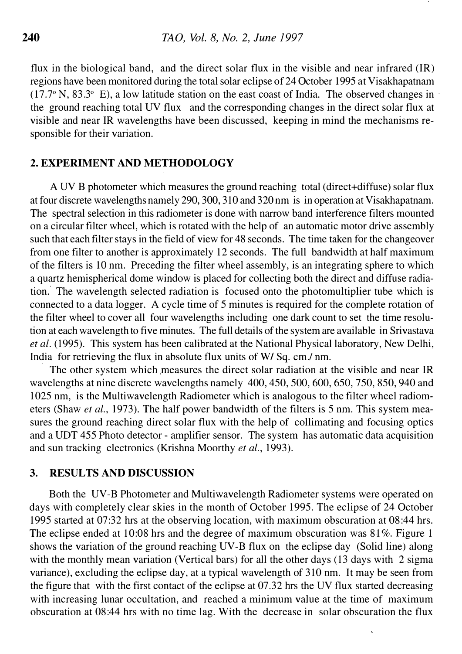flux in the biological band, and the direct solar flux in the visible and near infrared (IR) regions have been monitored during the total solar eclipse of 24 October 1995 at Visakhapatnam  $(17.7\textdegree N, 83.3\textdegree E)$ , a low latitude station on the east coast of India. The observed changes in  $\cdot$ the ground reaching total UV flux and the corresponding changes in the direct solar flux at visible and near IR wavelengths have been discussed, keeping in mind the mechanisms responsible for their variation.

## 2. EXPERIMENT AND METHODOLOGY

A UV B photometer which measures the ground reaching total (direct+diffuse) solar flux at four discrete wavelengths namely 290, 300, 310 and 320 nm is in operation at Visakhapatnam. The spectral selection in this radiometer is done with narrow band interference filters mounted on a circular filter wheel, which is rotated with the help of an automatic motor drive assembly such that each filter stays in the field of view for 48 seconds. The time taken for the changeover from one filter to another is approximately 12 seconds. The full bandwidth at half maximum of the filters is 10 nm. Preceding the filter wheel assembly, is an integrating sphere to which a quartz hemispherical dome window is placed for collecting both the direct and diffuse radiation. The wavelength selected radiation is focused onto the photomultiplier tube which is connected to a data logger. A cycle time of 5 minutes is required for the complete rotation of the filter wheel to cover all four wavelengths including one dark count to set the time resolution at each wavelength to five minutes. The full details of the system are available in Srivastava et al. (1995). This system has been calibrated at the National Physical laboratory, New Delhi, India for retrieving the flux in absolute flux units of WI Sq. cm./ nm.

The other system which measures the direct solar radiation at the visible and near IR wavelengths at nine discrete wavelengths namely 400, 450, 500, 600, 650, 750, 850, 940 and 1025 nm, is the Multiwavelength Radiometer which is analogous to the filter wheel radiometers (Shaw *et al.*, 1973). The half power bandwidth of the filters is 5 nm. This system measures the ground reaching direct solar flux with the help of collimating and focusing optics and a UDT 455 Photo detector - amplifier sensor. The system has automatic data acquisition and sun tracking electronics (Krishna Moorthy et al., 1993).

# 3. RESULTS AND DISCUSSION

Both the UV-B Photometer and Multiwavelength Radiometer systems were operated on days with completely clear skies in the month of October 1995. The eclipse of 24 October 1995 started at 07:32 hrs at the observing location, with maximum obscuration at 08:44 hrs. The eclipse ended at 10:08 hrs and the degree of maximum obscuration was 81%. Figure 1 shows the variation of the ground reaching UV-B flux on the eclipse day (Solid line) along with the monthly mean variation (Vertical bars) for all the other days (13 days with 2 sigma variance), excluding the eclipse day, at a typical wavelength of 310 nm. It may be seen from the figure that with the first contact of the eclipse at 07 .32 hrs the UV flux started decreasing with increasing lunar occultation, and reached a minimum value at the time of maximum obscuration at 08:44 hrs with no time lag. With the decrease in solar obscuration the flux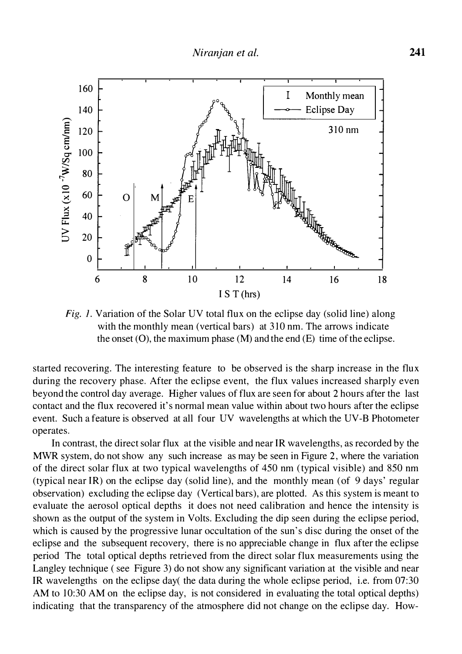

Fig. 1. Variation of the Solar UV total flux on the eclipse day (solid line) along with the monthly mean (vertical bars) at 310 nm. The arrows indicate the onset  $(0)$ , the maximum phase  $(M)$  and the end  $(E)$  time of the eclipse.

started recovering. The interesting feature to be observed is the sharp increase in the flux during the recovery phase. After the eclipse event, the flux values increased sharply even beyond the control day average. Higher values of flux are seen for about 2 hours after the last contact and the flux recovered it's normal mean value within about two hours after the eclipse event. Such a feature is observed at all four UV wavelengths at which the UV-B Photometer operates.

In contrast, the direct solar flux at the visible and near IR wavelengths, as recorded by the MWR system, do not show any such increase as may be seen in Figure 2, where the variation of the direct solar flux at two typical wavelengths of 450 nm (typical visible) and 850 nm (typical near IR) on the eclipse day (solid line), and the monthly mean (of 9 days' regular observation) excluding the eclipse day (Vertical bars), are plotted. As this system is meant to evaluate the aerosol optical depths it does not need calibration and hence the intensity is shown as the output of the system in Volts. Excluding the dip seen during the eclipse period, which is caused by the progressive lunar occultation of the sun's disc during the onset of the eclipse and the subsequent recovery, there is no appreciable change in flux after the eclipse period The total optical depths retrieved from the direct solar flux measurements using the Langley technique ( see Figure 3) do not show any significant variation at the visible and near IR wavelengths on the eclipse day( the data during the whole eclipse period, i.e. from 07:30 AM to 10:30 AM on the eclipse day, is not considered in evaluating the total optical depths) indicating that the transparency of the atmosphere did not change on the eclipse day. How-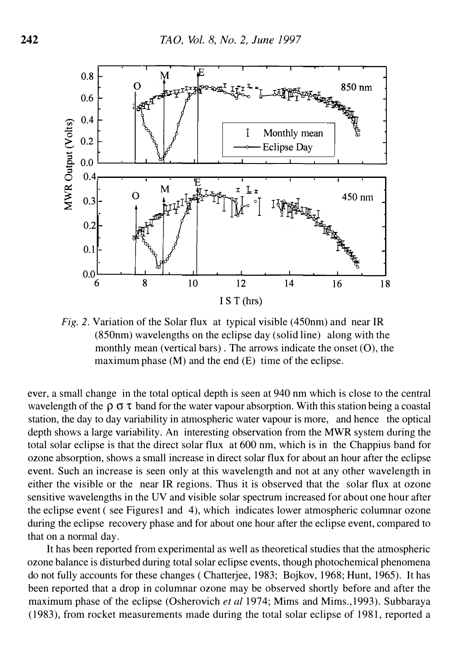

Fig. 2. Variation of the Solar flux at typical visible (450nm) and near IR (850nm) wavelengths on the eclipse day (solid line) along with the monthly mean (vertical bars). The arrows indicate the onset  $(0)$ , the maximum phase (M) and the end (E) time of the eclipse.

ever, a small change in the total optical depth is seen at 940 nm which is close to the central wavelength of the  $\rho \sigma \tau$  band for the water vapour absorption. With this station being a coastal station, the day to day variability in atmospheric water vapour is more, and hence the optical depth shows a large variability. An interesting observation from the MWR system during the total solar eclipse is that the direct solar flux at 600 nm, which is in the Chappius band for ozone absorption, shows a small increase in direct solar flux for about an hour after the eclipse event. Such an increase is seen only at this wavelength and not at any other wavelength in either the visible or the near IR regions. Thus it is observed that the solar flux at ozone sensitive wavelengths in the UV and visible solar spectrum increased for about one hour after the eclipse event (see Figures 1 and 4), which indicates lower atmospheric columnar ozone during the eclipse recovery phase and for about one hour after the eclipse event, compared to that on a normal day.

It has been reported from experimental as well as theoretical studies that the atmospheric ozone balance is disturbed during total solar eclipse events, though photochemical phenomena do not fully accounts for these changes (Chatterjee, 1983; Bojkov, 1968; Hunt, 1965). It has been reported that a drop in columnar ozone may be observed shortly before and after the maximum phase of the eclipse (Osherovich et al 1974; Mims and Mims., 1993). Subbaraya (1983), from rocket measurements made during the total solar eclipse of 1981, reported a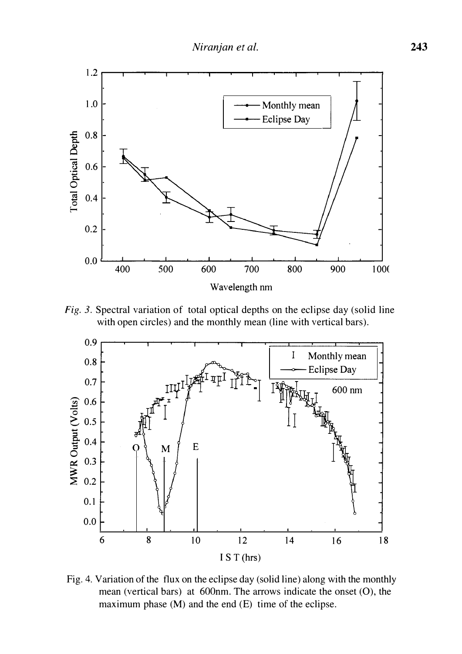

Fig. 3. Spectral variation of total optical depths on the eclipse day (solid line with open circles) and the monthly mean (line with vertical bars).



Fig. 4. Variation of the flux on the eclipse day (solid line) along with the monthly mean (vertical bars) at 600nm. The arrows indicate the onset (0), the maximum phase (M) and the end (E) time of the eclipse.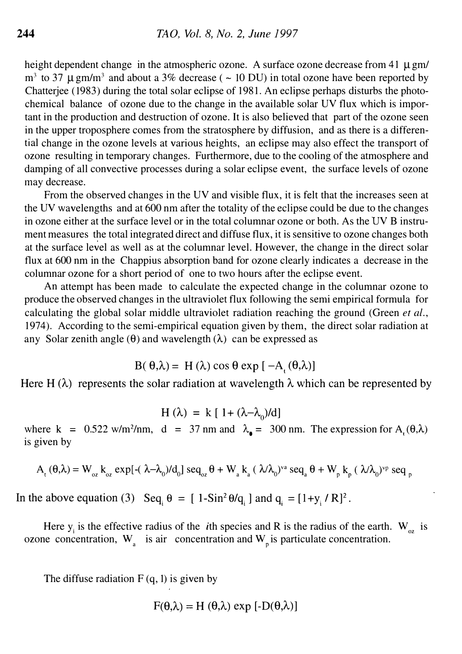height dependent change in the atmospheric ozone. A surface ozone decrease from 41  $\mu$  gm/  $m<sup>3</sup>$  to 37  $\mu$  gm/m<sup>3</sup> and about a 3% decrease ( ~ 10 DU) in total ozone have been reported by Chatterjee (1983) during the total solar eclipse of 1981. An eclipse perhaps disturbs the photochemical balance of ozone due to the change in the available solar UV flux which is important in the production and destruction of ozone. It is also believed that part of the ozone seen in the upper troposphere comes from the stratosphere by diffusion, and as there is a differential change in the ozone levels at various heights, an eclipse may also effect the transport of ozone resulting in temporary changes. Furthermore, due to the cooling of the atmosphere and damping of all convective processes during a solar eclipse event, the surface levels of ozone may decrease.

From the observed changes in the UV and visible flux, it is felt that the increases seen at the UV wavelengths and at 600 nm after the totality of the eclipse could be due to the changes in ozone either at the surface level or in the total columnar ozone or both. As the UV B instrument measures the total integrated direct and diffuse flux, it is sensitive to ozone changes both at the surface level as well as at the columnar level. However, the change in the direct solar flux at 600 nm in the Chappius absorption band for ozone clearly indicates a decrease in the columnar ozone for a short period of one to two hours after the eclipse event.

An attempt has been made to calculate the expected change in the columnar ozone to produce the observed changes in the ultraviolet flux following the semi empirical formula for calculating the global solar middle ultraviolet radiation reaching the ground (Green *et al.*, 1974). According to the semi-empirical equation given by them, the direct solar radiation at any Solar zenith angle  $(\theta)$  and wavelength  $(\lambda)$  can be expressed as

$$
B(\theta,\lambda) = H(\lambda)\cos\theta\exp[-A_{\mu}(\theta,\lambda)]
$$

Here H  $(\lambda)$  represents the solar radiation at wavelength  $\lambda$  which can be represented by

$$
H(\lambda) = k [1 + (\lambda - \lambda_0)/d]
$$

where k =  $0.522$  w/m<sup>2</sup>/nm, d = 37 nm and  $\lambda_{\bullet}$  = 300 nm. The expression for A<sub>t</sub>( $\theta$ , $\lambda$ ) is given by

$$
A_{t}(\theta,\lambda)=W_{oz} k_{oz} \exp[-(\lambda-\lambda_0)/d_0] \text{ seq}_{oz}\theta+W_a k_a (\lambda/\lambda_0)^{va} \text{ seq}_a\theta+W_p k_p (\lambda/\lambda_0)^{vp} \text{ seq}_p
$$

In the above equation (3) Seq<sub>i</sub>  $\theta = [1-Sin^2\theta/q_i]$  and  $q_i = [1+y_i/R]^2$ .

Here  $y_i$  is the effective radius of the *i*th species and R is the radius of the earth. W<sub>oz</sub> is ozone concentration,  $W_a$  is air concentration and  $W_p$  is particulate concentration.

The diffuse radiation  $F(q, 1)$  is given by

$$
F(\theta,\lambda) = H(\theta,\lambda) \exp [ -D(\theta,\lambda) ]
$$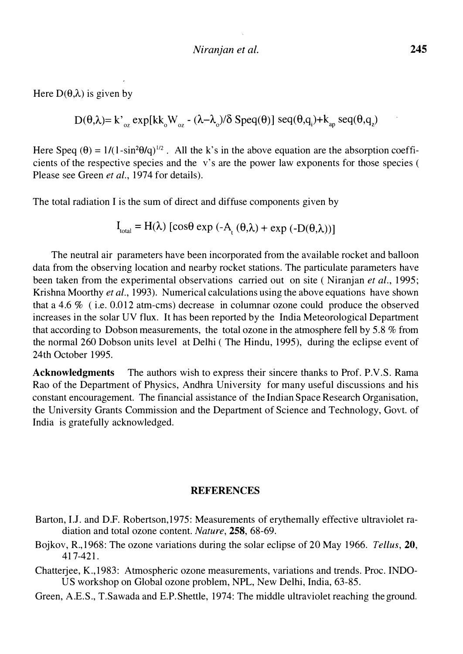Here  $D(\theta, \lambda)$  is given by

 $D(\theta, \lambda) = k'_{oz}$  expl $kk_0W_{oz}$  - ( $\lambda - \lambda_0/\delta$  Speq( $\theta$ )] seq( $\theta, q_1$ )+ $k_{ap}$  seq( $\theta, q_2$ )

Here Speq  $(\theta) = 1/(1-\sin^2{\theta/q})^{1/2}$ . All the k's in the above equation are the absorption coefficients of the respective species and the v's are the power law exponents for those species ( Please see Green et al., 1974 for details).

The total radiation I is the sum of direct and diffuse components given by

$$
I_{\text{total}} = H(\lambda) \left[ \cos \theta \exp \left( -A_{t} (\theta, \lambda) + \exp \left( -D(\theta, \lambda) \right) \right] \right]
$$

The neutral air parameters have been incorporated from the available rocket and balloon data from the observing location and nearby rocket stations. The particulate parameters have been taken from the experimental observations carried out on site (Niranjan *et al.*, 1995; Krishna Moorthy et al., 1993). Numerical calculations using the above equations have shown that a 4.6 % ( i.e. 0.012 atm-cms) decrease in columnar ozone could produce the observed increases in the solar UV flux. It has been reported by the India Meteorological Department that according to Dobson measurements, the total ozone in the atmosphere fell by 5.8 % from the normal 260 Dobson units level at Delhi ( The Hindu, 1995), during the eclipse event of 24th October 1995.

Acknowledgments The authors wish to express their sincere thanks to Prof. P.V.S. Rama Rao of the Department of Physics, Andhra University for many useful discussions and his constant encouragement. The financial assistance of the Indian Space Research Organisation, the University Grants Commission and the Department of Science and Technology, Govt. of India is gratefully acknowledged.

#### **REFERENCES**

- Barton, I.J. and D.F. Robertson,1975: Measurements of erythemally effective ultraviolet radiation and total ozone content. Nature, 258, 68-69.
- Bojkov, R., 1968: The ozone variations during the solar eclipse of 20 May 1966. Tellus, 20, 417-421.
- Chatterjee, K.,1983: Atmospheric ozone measurements, variations and trends. Proc. INDO-US workshop on Global ozone problem, NPL, New Delhi, India, 63-85.
- Green, A.E.S., T.Sawada and E.P.Shettle, 1974: The middle ultraviolet reaching the ground.